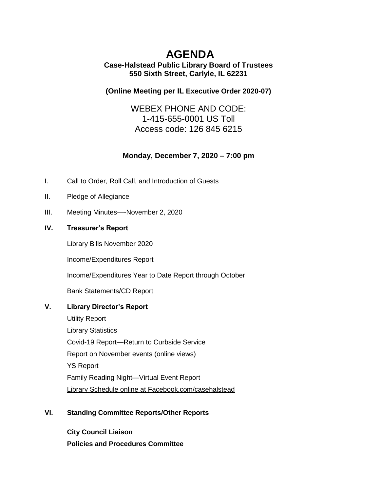# **AGENDA**

## **Case-Halstead Public Library Board of Trustees 550 Sixth Street, Carlyle, IL 62231**

## **(Online Meeting per IL [Executive Order 2020-07\)](https://ila.us12.list-manage.com/track/click?u=6e70654dccbd86e15c572ad55&id=9dbd36cb1d&e=3c5b70de22)**

WEBEX PHONE AND CODE: 1-415-655-0001 US Toll Access code: 126 845 6215

# **Monday, December 7, 2020 – 7:00 pm**

- I. Call to Order, Roll Call, and Introduction of Guests
- II. Pledge of Allegiance
- III. Meeting Minutes—-November 2, 2020

### **IV. Treasurer's Report**

Library Bills November 2020

Income/Expenditures Report

Income/Expenditures Year to Date Report through October

Bank Statements/CD Report

## **V. Library Director's Report**

Utility Report Library Statistics Covid-19 Report—Return to Curbside Service Report on November events (online views) YS Report Family Reading Night—Virtual Event Report Library Schedule online at Facebook.com/casehalstead

## **VI. Standing Committee Reports/Other Reports**

**City Council Liaison Policies and Procedures Committee**